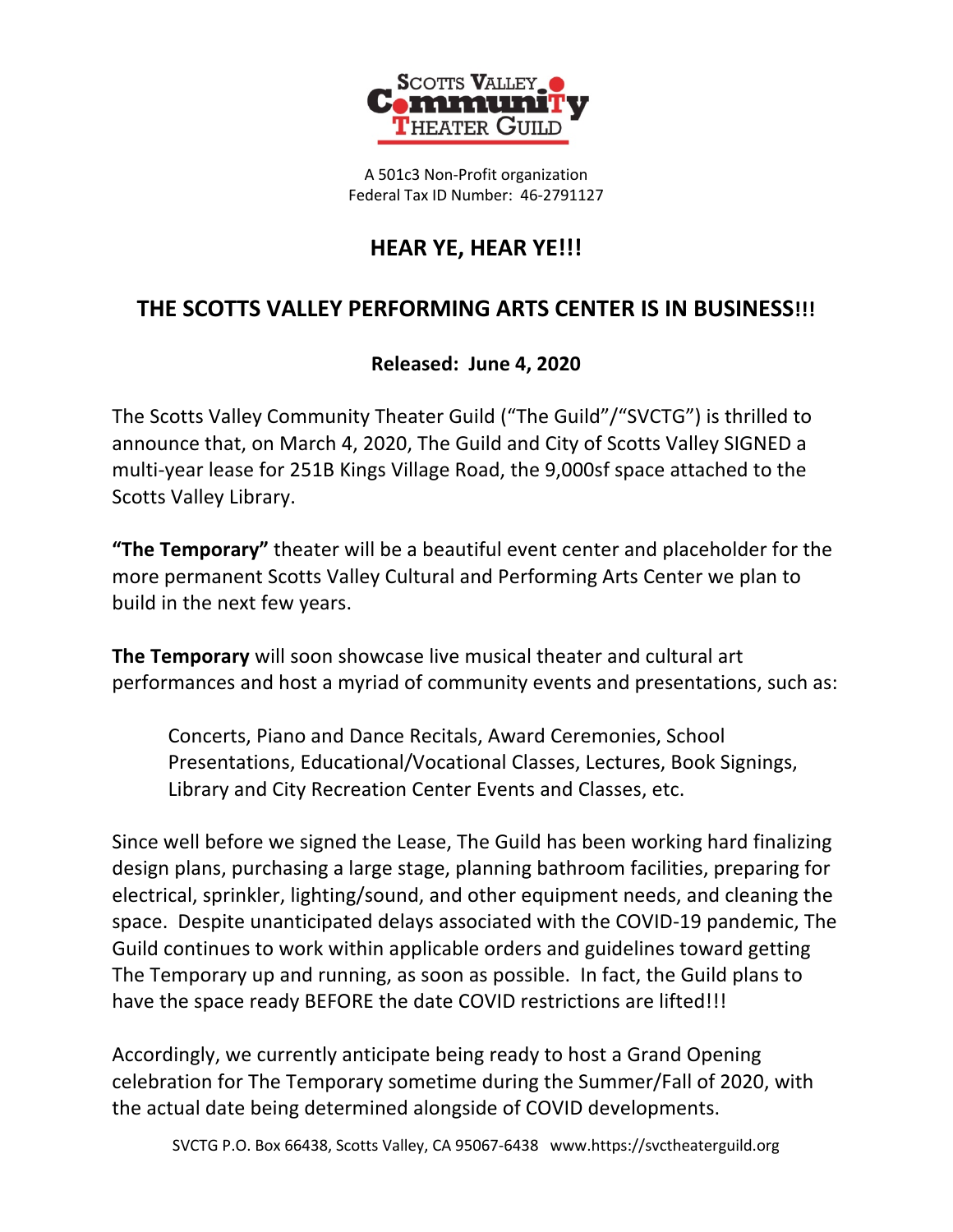

A 501c3 Non-Profit organization Federal Tax ID Number: 46-2791127

## **HEAR YE, HEAR YE!!!**

## **THE SCOTTS VALLEY PERFORMING ARTS CENTER IS IN BUSINESS!!!**

## **Released: June 4, 2020**

The Scotts Valley Community Theater Guild ("The Guild"/"SVCTG") is thrilled to announce that, on March 4, 2020, The Guild and City of Scotts Valley SIGNED a multi-year lease for 251B Kings Village Road, the 9,000sf space attached to the Scotts Valley Library.

**"The Temporary"** theater will be a beautiful event center and placeholder for the more permanent Scotts Valley Cultural and Performing Arts Center we plan to build in the next few years.

**The Temporary** will soon showcase live musical theater and cultural art performances and host a myriad of community events and presentations, such as:

Concerts, Piano and Dance Recitals, Award Ceremonies, School Presentations, Educational/Vocational Classes, Lectures, Book Signings, Library and City Recreation Center Events and Classes, etc.

Since well before we signed the Lease, The Guild has been working hard finalizing design plans, purchasing a large stage, planning bathroom facilities, preparing for electrical, sprinkler, lighting/sound, and other equipment needs, and cleaning the space. Despite unanticipated delays associated with the COVID-19 pandemic, The Guild continues to work within applicable orders and guidelines toward getting The Temporary up and running, as soon as possible. In fact, the Guild plans to have the space ready BEFORE the date COVID restrictions are lifted!!!

Accordingly, we currently anticipate being ready to host a Grand Opening celebration for The Temporary sometime during the Summer/Fall of 2020, with the actual date being determined alongside of COVID developments.